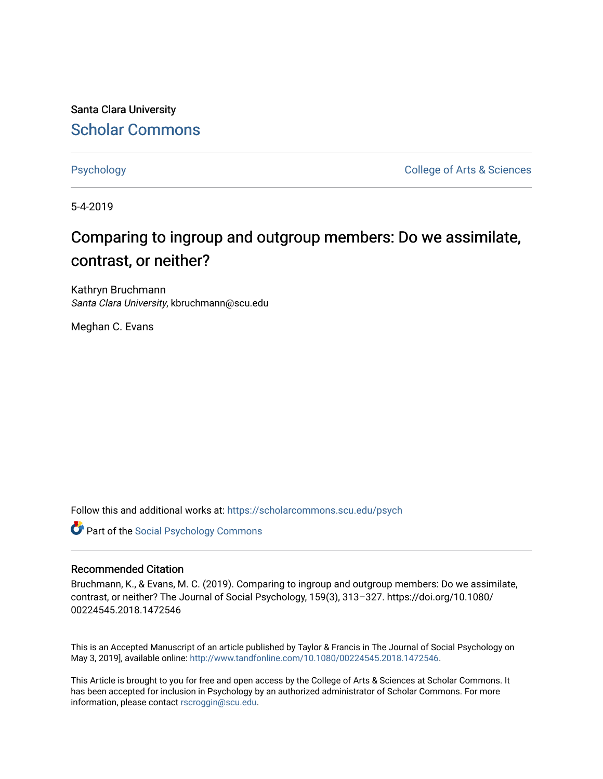Santa Clara University [Scholar Commons](https://scholarcommons.scu.edu/) 

[Psychology](https://scholarcommons.scu.edu/psych) **College of Arts & Sciences** 

5-4-2019

# Comparing to ingroup and outgroup members: Do we assimilate, contrast, or neither?

Kathryn Bruchmann Santa Clara University, kbruchmann@scu.edu

Meghan C. Evans

Follow this and additional works at: [https://scholarcommons.scu.edu/psych](https://scholarcommons.scu.edu/psych?utm_source=scholarcommons.scu.edu%2Fpsych%2F345&utm_medium=PDF&utm_campaign=PDFCoverPages) 

**Part of the Social Psychology Commons** 

#### Recommended Citation

Bruchmann, K., & Evans, M. C. (2019). Comparing to ingroup and outgroup members: Do we assimilate, contrast, or neither? The Journal of Social Psychology, 159(3), 313–327. https://doi.org/10.1080/ 00224545.2018.1472546

This is an Accepted Manuscript of an article published by Taylor & Francis in The Journal of Social Psychology on May 3, 2019], available online: [http://www.tandfonline.com/10.1080/00224545.2018.1472546.](http://www.tandfonline.com/10.1080/00224545.2018.1472546)

This Article is brought to you for free and open access by the College of Arts & Sciences at Scholar Commons. It has been accepted for inclusion in Psychology by an authorized administrator of Scholar Commons. For more information, please contact [rscroggin@scu.edu.](mailto:rscroggin@scu.edu)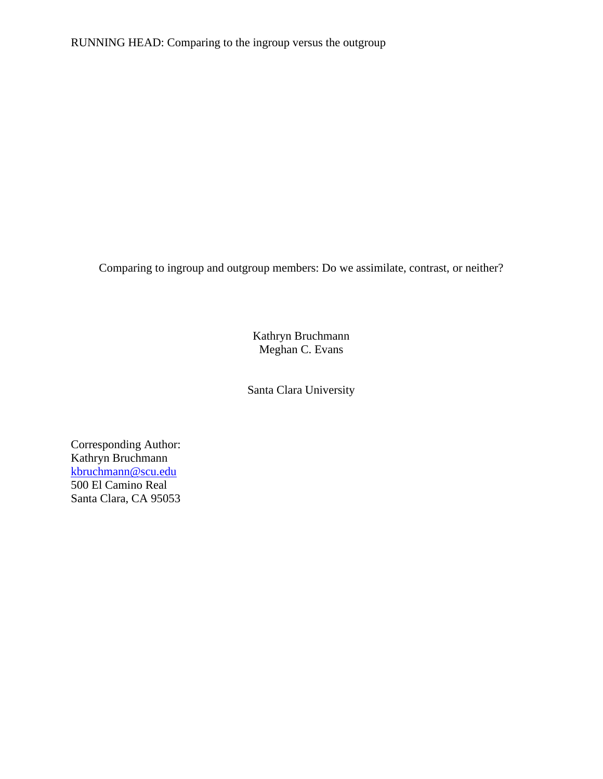Comparing to ingroup and outgroup members: Do we assimilate, contrast, or neither?

Kathryn Bruchmann Meghan C. Evans

Santa Clara University

Corresponding Author: Kathryn Bruchmann [kbruchmann@scu.edu](mailto:kbruchmann@scu.edu) 500 El Camino Real Santa Clara, CA 95053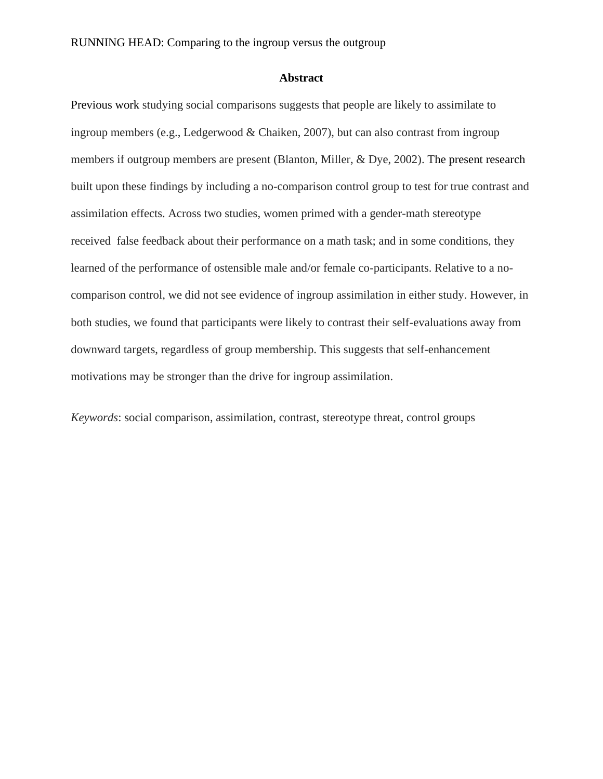#### **Abstract**

Previous work studying social comparisons suggests that people are likely to assimilate to ingroup members (e.g., Ledgerwood & Chaiken, 2007), but can also contrast from ingroup members if outgroup members are present (Blanton, Miller, & Dye, 2002). The present research built upon these findings by including a no-comparison control group to test for true contrast and assimilation effects. Across two studies, women primed with a gender-math stereotype received false feedback about their performance on a math task; and in some conditions, they learned of the performance of ostensible male and/or female co-participants. Relative to a nocomparison control, we did not see evidence of ingroup assimilation in either study. However, in both studies, we found that participants were likely to contrast their self-evaluations away from downward targets, regardless of group membership. This suggests that self-enhancement motivations may be stronger than the drive for ingroup assimilation.

*Keywords*: social comparison, assimilation, contrast, stereotype threat, control groups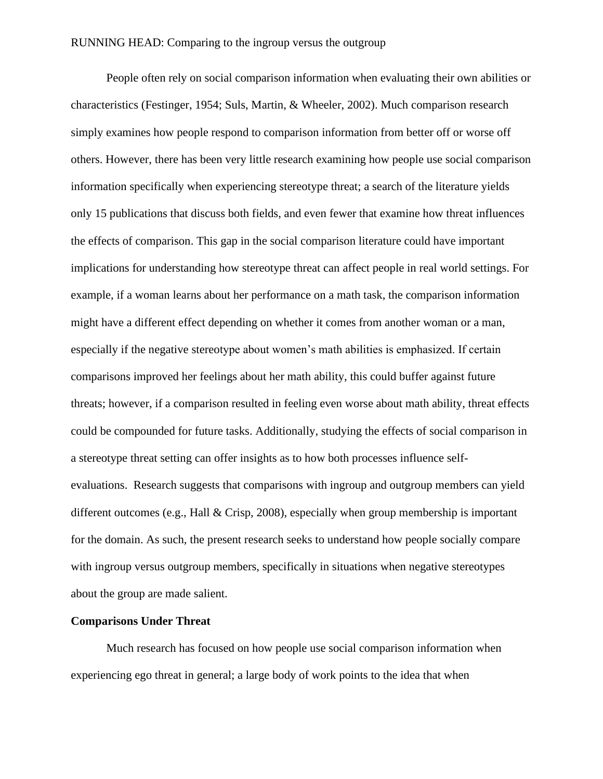People often rely on social comparison information when evaluating their own abilities or characteristics (Festinger, 1954; Suls, Martin, & Wheeler, 2002). Much comparison research simply examines how people respond to comparison information from better off or worse off others. However, there has been very little research examining how people use social comparison information specifically when experiencing stereotype threat; a search of the literature yields only 15 publications that discuss both fields, and even fewer that examine how threat influences the effects of comparison. This gap in the social comparison literature could have important implications for understanding how stereotype threat can affect people in real world settings. For example, if a woman learns about her performance on a math task, the comparison information might have a different effect depending on whether it comes from another woman or a man, especially if the negative stereotype about women's math abilities is emphasized. If certain comparisons improved her feelings about her math ability, this could buffer against future threats; however, if a comparison resulted in feeling even worse about math ability, threat effects could be compounded for future tasks. Additionally, studying the effects of social comparison in a stereotype threat setting can offer insights as to how both processes influence selfevaluations. Research suggests that comparisons with ingroup and outgroup members can yield different outcomes (e.g., Hall & Crisp, 2008), especially when group membership is important for the domain. As such, the present research seeks to understand how people socially compare with ingroup versus outgroup members, specifically in situations when negative stereotypes about the group are made salient.

#### **Comparisons Under Threat**

Much research has focused on how people use social comparison information when experiencing ego threat in general; a large body of work points to the idea that when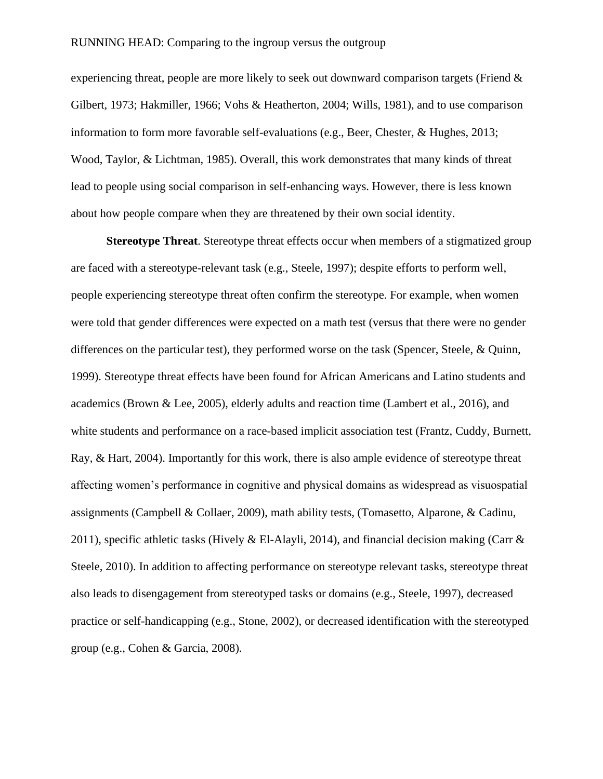experiencing threat, people are more likely to seek out downward comparison targets (Friend & Gilbert, 1973; Hakmiller, 1966; Vohs & Heatherton, 2004; Wills, 1981), and to use comparison information to form more favorable self-evaluations (e.g., Beer, Chester, & Hughes, 2013; Wood, Taylor, & Lichtman, 1985). Overall, this work demonstrates that many kinds of threat lead to people using social comparison in self-enhancing ways. However, there is less known about how people compare when they are threatened by their own social identity.

**Stereotype Threat**. Stereotype threat effects occur when members of a stigmatized group are faced with a stereotype-relevant task (e.g., Steele, 1997); despite efforts to perform well, people experiencing stereotype threat often confirm the stereotype. For example, when women were told that gender differences were expected on a math test (versus that there were no gender differences on the particular test), they performed worse on the task (Spencer, Steele, & Quinn, 1999). Stereotype threat effects have been found for African Americans and Latino students and academics (Brown & Lee, 2005), elderly adults and reaction time (Lambert et al., 2016), and white students and performance on a race-based implicit association test (Frantz, Cuddy, Burnett, Ray, & Hart, 2004). Importantly for this work, there is also ample evidence of stereotype threat affecting women's performance in cognitive and physical domains as widespread as visuospatial assignments (Campbell & Collaer, 2009), math ability tests, (Tomasetto, Alparone, & Cadinu, 2011), specific athletic tasks (Hively & El-Alayli, 2014), and financial decision making (Carr  $\&$ Steele, 2010). In addition to affecting performance on stereotype relevant tasks, stereotype threat also leads to disengagement from stereotyped tasks or domains (e.g., Steele, 1997), decreased practice or self-handicapping (e.g., Stone, 2002), or decreased identification with the stereotyped group (e.g., Cohen & Garcia, 2008).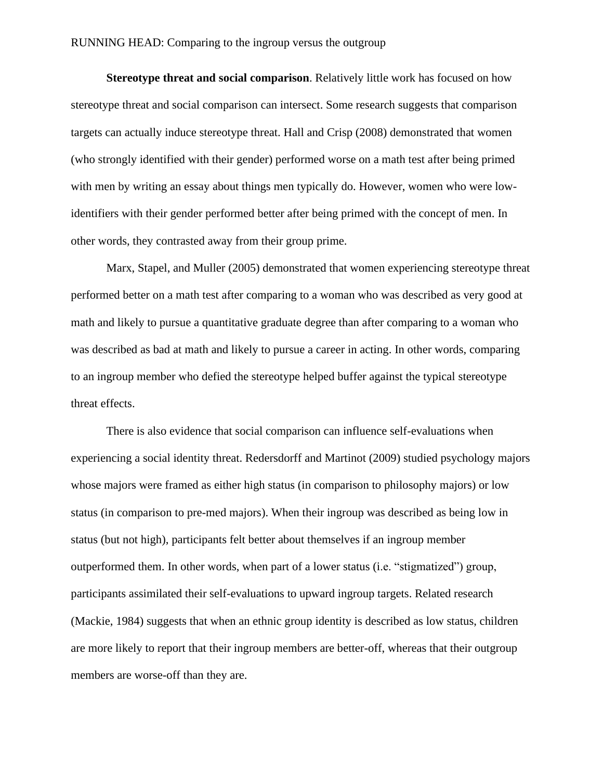**Stereotype threat and social comparison**. Relatively little work has focused on how stereotype threat and social comparison can intersect. Some research suggests that comparison targets can actually induce stereotype threat. Hall and Crisp (2008) demonstrated that women (who strongly identified with their gender) performed worse on a math test after being primed with men by writing an essay about things men typically do. However, women who were lowidentifiers with their gender performed better after being primed with the concept of men. In other words, they contrasted away from their group prime.

Marx, Stapel, and Muller (2005) demonstrated that women experiencing stereotype threat performed better on a math test after comparing to a woman who was described as very good at math and likely to pursue a quantitative graduate degree than after comparing to a woman who was described as bad at math and likely to pursue a career in acting. In other words, comparing to an ingroup member who defied the stereotype helped buffer against the typical stereotype threat effects.

There is also evidence that social comparison can influence self-evaluations when experiencing a social identity threat. Redersdorff and Martinot (2009) studied psychology majors whose majors were framed as either high status (in comparison to philosophy majors) or low status (in comparison to pre-med majors). When their ingroup was described as being low in status (but not high), participants felt better about themselves if an ingroup member outperformed them. In other words, when part of a lower status (i.e. "stigmatized") group, participants assimilated their self-evaluations to upward ingroup targets. Related research (Mackie, 1984) suggests that when an ethnic group identity is described as low status, children are more likely to report that their ingroup members are better-off, whereas that their outgroup members are worse-off than they are.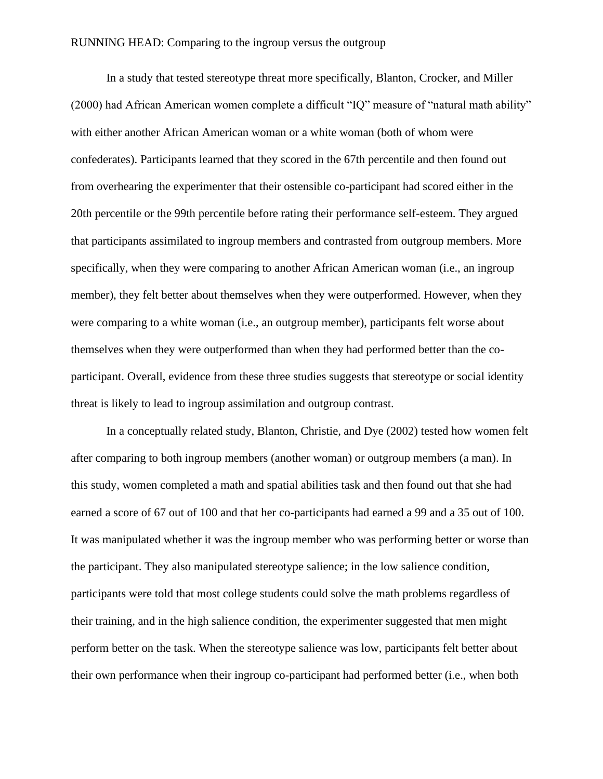In a study that tested stereotype threat more specifically, Blanton, Crocker, and Miller (2000) had African American women complete a difficult "IQ" measure of "natural math ability" with either another African American woman or a white woman (both of whom were confederates). Participants learned that they scored in the 67th percentile and then found out from overhearing the experimenter that their ostensible co-participant had scored either in the 20th percentile or the 99th percentile before rating their performance self-esteem. They argued that participants assimilated to ingroup members and contrasted from outgroup members. More specifically, when they were comparing to another African American woman (i.e., an ingroup member), they felt better about themselves when they were outperformed. However, when they were comparing to a white woman (i.e., an outgroup member), participants felt worse about themselves when they were outperformed than when they had performed better than the coparticipant. Overall, evidence from these three studies suggests that stereotype or social identity threat is likely to lead to ingroup assimilation and outgroup contrast.

In a conceptually related study, Blanton, Christie, and Dye (2002) tested how women felt after comparing to both ingroup members (another woman) or outgroup members (a man). In this study, women completed a math and spatial abilities task and then found out that she had earned a score of 67 out of 100 and that her co-participants had earned a 99 and a 35 out of 100. It was manipulated whether it was the ingroup member who was performing better or worse than the participant. They also manipulated stereotype salience; in the low salience condition, participants were told that most college students could solve the math problems regardless of their training, and in the high salience condition, the experimenter suggested that men might perform better on the task. When the stereotype salience was low, participants felt better about their own performance when their ingroup co-participant had performed better (i.e., when both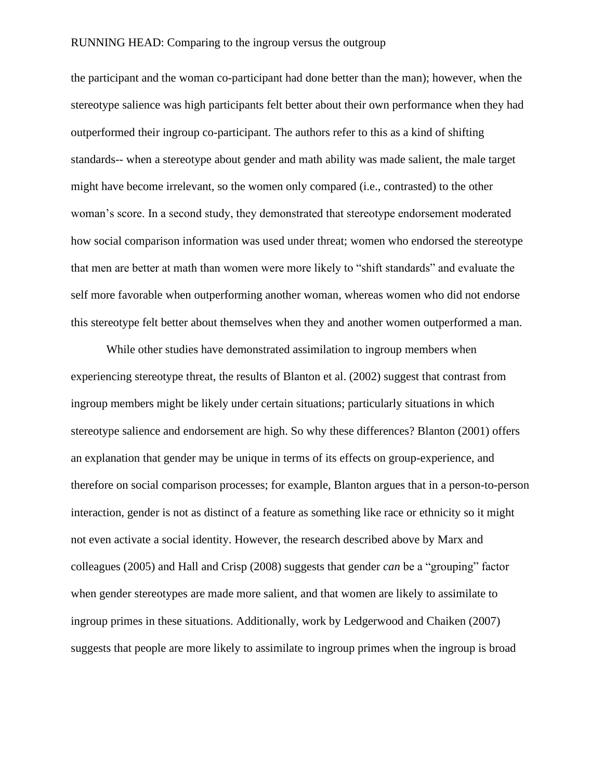the participant and the woman co-participant had done better than the man); however, when the stereotype salience was high participants felt better about their own performance when they had outperformed their ingroup co-participant. The authors refer to this as a kind of shifting standards-- when a stereotype about gender and math ability was made salient, the male target might have become irrelevant, so the women only compared (i.e., contrasted) to the other woman's score. In a second study, they demonstrated that stereotype endorsement moderated how social comparison information was used under threat; women who endorsed the stereotype that men are better at math than women were more likely to "shift standards" and evaluate the self more favorable when outperforming another woman, whereas women who did not endorse this stereotype felt better about themselves when they and another women outperformed a man.

While other studies have demonstrated assimilation to ingroup members when experiencing stereotype threat, the results of Blanton et al. (2002) suggest that contrast from ingroup members might be likely under certain situations; particularly situations in which stereotype salience and endorsement are high. So why these differences? Blanton (2001) offers an explanation that gender may be unique in terms of its effects on group-experience, and therefore on social comparison processes; for example, Blanton argues that in a person-to-person interaction, gender is not as distinct of a feature as something like race or ethnicity so it might not even activate a social identity. However, the research described above by Marx and colleagues (2005) and Hall and Crisp (2008) suggests that gender *can* be a "grouping" factor when gender stereotypes are made more salient, and that women are likely to assimilate to ingroup primes in these situations. Additionally, work by Ledgerwood and Chaiken (2007) suggests that people are more likely to assimilate to ingroup primes when the ingroup is broad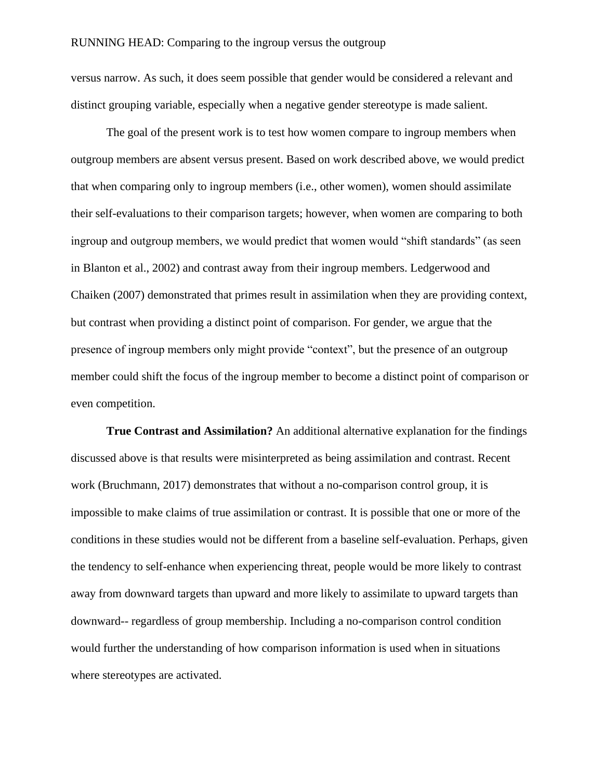versus narrow. As such, it does seem possible that gender would be considered a relevant and distinct grouping variable, especially when a negative gender stereotype is made salient.

The goal of the present work is to test how women compare to ingroup members when outgroup members are absent versus present. Based on work described above, we would predict that when comparing only to ingroup members (i.e., other women), women should assimilate their self-evaluations to their comparison targets; however, when women are comparing to both ingroup and outgroup members, we would predict that women would "shift standards" (as seen in Blanton et al., 2002) and contrast away from their ingroup members. Ledgerwood and Chaiken (2007) demonstrated that primes result in assimilation when they are providing context, but contrast when providing a distinct point of comparison. For gender, we argue that the presence of ingroup members only might provide "context", but the presence of an outgroup member could shift the focus of the ingroup member to become a distinct point of comparison or even competition.

**True Contrast and Assimilation?** An additional alternative explanation for the findings discussed above is that results were misinterpreted as being assimilation and contrast. Recent work (Bruchmann, 2017) demonstrates that without a no-comparison control group, it is impossible to make claims of true assimilation or contrast. It is possible that one or more of the conditions in these studies would not be different from a baseline self-evaluation. Perhaps, given the tendency to self-enhance when experiencing threat, people would be more likely to contrast away from downward targets than upward and more likely to assimilate to upward targets than downward-- regardless of group membership. Including a no-comparison control condition would further the understanding of how comparison information is used when in situations where stereotypes are activated.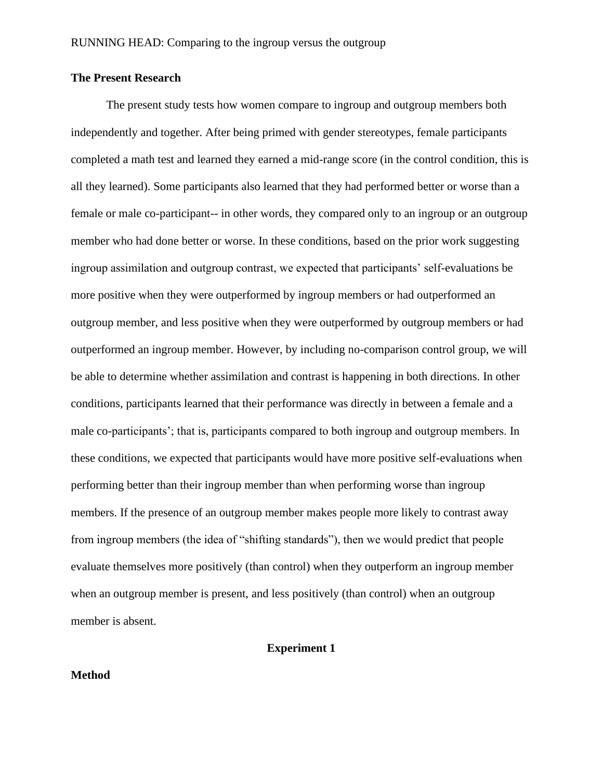### **The Present Research**

The present study tests how women compare to ingroup and outgroup members both independently and together. After being primed with gender stereotypes, female participants completed a math test and learned they earned a mid-range score (in the control condition, this is all they learned). Some participants also learned that they had performed better or worse than a female or male co-participant-- in other words, they compared only to an ingroup or an outgroup member who had done better or worse. In these conditions, based on the prior work suggesting ingroup assimilation and outgroup contrast, we expected that participants' self-evaluations be more positive when they were outperformed by ingroup members or had outperformed an outgroup member, and less positive when they were outperformed by outgroup members or had outperformed an ingroup member. However, by including no-comparison control group, we will be able to determine whether assimilation and contrast is happening in both directions. In other conditions, participants learned that their performance was directly in between a female and a male co-participants'; that is, participants compared to both ingroup and outgroup members. In these conditions, we expected that participants would have more positive self-evaluations when performing better than their ingroup member than when performing worse than ingroup members. If the presence of an outgroup member makes people more likely to contrast away from ingroup members (the idea of "shifting standards"), then we would predict that people evaluate themselves more positively (than control) when they outperform an ingroup member when an outgroup member is present, and less positively (than control) when an outgroup member is absent.

**Experiment 1**

#### **Method**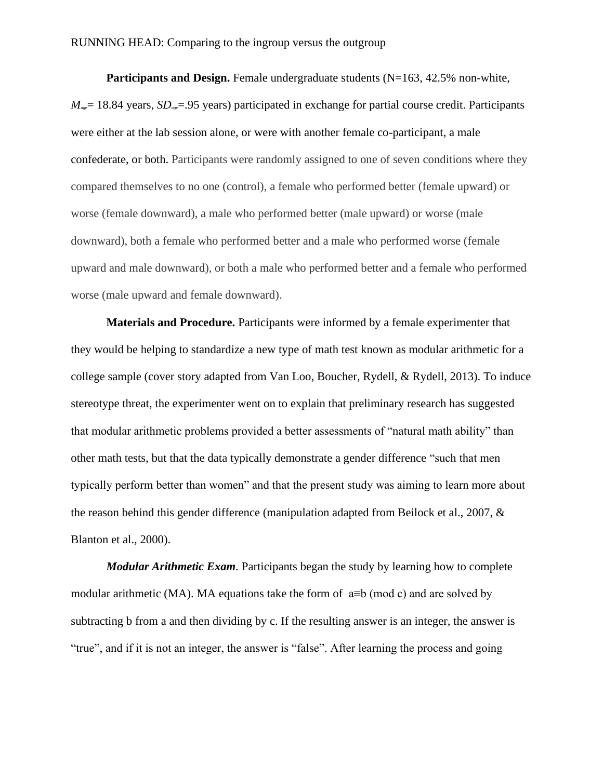**Participants and Design.** Female undergraduate students (N=163, 42.5% non-white,  $M_{\text{age}}$ = 18.84 years, *SD<sub>ag</sub>*=.95 years) participated in exchange for partial course credit. Participants were either at the lab session alone, or were with another female co-participant, a male confederate, or both. Participants were randomly assigned to one of seven conditions where they compared themselves to no one (control), a female who performed better (female upward) or worse (female downward), a male who performed better (male upward) or worse (male downward), both a female who performed better and a male who performed worse (female upward and male downward), or both a male who performed better and a female who performed worse (male upward and female downward).

**Materials and Procedure.** Participants were informed by a female experimenter that they would be helping to standardize a new type of math test known as modular arithmetic for a college sample (cover story adapted from Van Loo, Boucher, Rydell, & Rydell, 2013). To induce stereotype threat, the experimenter went on to explain that preliminary research has suggested that modular arithmetic problems provided a better assessments of "natural math ability" than other math tests, but that the data typically demonstrate a gender difference "such that men typically perform better than women" and that the present study was aiming to learn more about the reason behind this gender difference (manipulation adapted from Beilock et al., 2007, & Blanton et al., 2000).

*Modular Arithmetic Exam.* Participants began the study by learning how to complete modular arithmetic (MA). MA equations take the form of  $a \equiv b \pmod{c}$  and are solved by subtracting b from a and then dividing by c. If the resulting answer is an integer, the answer is "true", and if it is not an integer, the answer is "false". After learning the process and going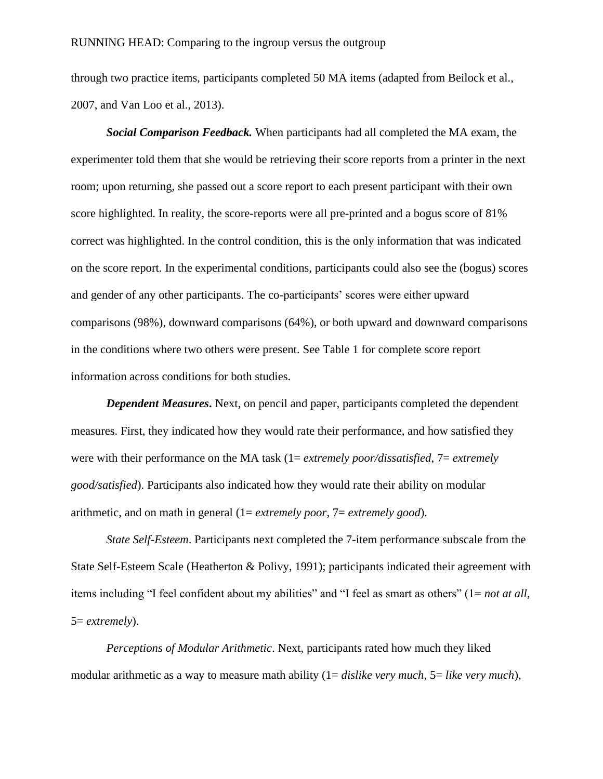through two practice items, participants completed 50 MA items (adapted from Beilock et al., 2007, and Van Loo et al., 2013).

*Social Comparison Feedback.* When participants had all completed the MA exam, the experimenter told them that she would be retrieving their score reports from a printer in the next room; upon returning, she passed out a score report to each present participant with their own score highlighted. In reality, the score-reports were all pre-printed and a bogus score of 81% correct was highlighted. In the control condition, this is the only information that was indicated on the score report. In the experimental conditions, participants could also see the (bogus) scores and gender of any other participants. The co-participants' scores were either upward comparisons (98%), downward comparisons (64%), or both upward and downward comparisons in the conditions where two others were present. See Table 1 for complete score report information across conditions for both studies.

*Dependent Measures*. Next, on pencil and paper, participants completed the dependent measures. First, they indicated how they would rate their performance, and how satisfied they were with their performance on the MA task (1= *extremely poor/dissatisfied*, 7= *extremely good/satisfied*). Participants also indicated how they would rate their ability on modular arithmetic, and on math in general (1= *extremely poor*, 7= *extremely good*).

*State Self-Esteem*. Participants next completed the 7-item performance subscale from the State Self-Esteem Scale (Heatherton & Polivy, 1991); participants indicated their agreement with items including "I feel confident about my abilities" and "I feel as smart as others" (1= *not at all*, 5= *extremely*).

*Perceptions of Modular Arithmetic*. Next, participants rated how much they liked modular arithmetic as a way to measure math ability (1= *dislike very much*, 5= *like very much*),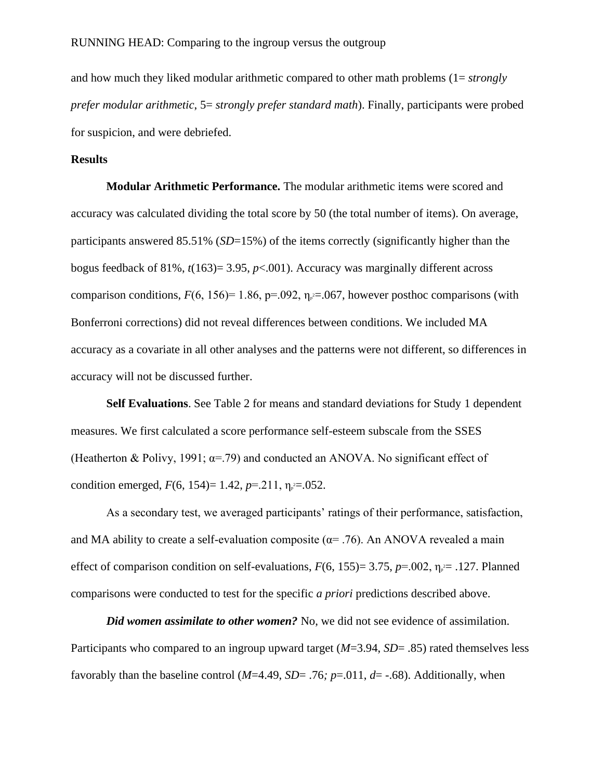and how much they liked modular arithmetic compared to other math problems (1= *strongly prefer modular arithmetic*, 5= *strongly prefer standard math*). Finally, participants were probed for suspicion, and were debriefed.

#### **Results**

**Modular Arithmetic Performance.** The modular arithmetic items were scored and accuracy was calculated dividing the total score by 50 (the total number of items). On average, participants answered 85.51% (*SD*=15%) of the items correctly (significantly higher than the bogus feedback of 81%,  $t(163)=3.95$ ,  $p<.001$ ). Accuracy was marginally different across comparison conditions,  $F(6, 156) = 1.86$ ,  $p = .092$ ,  $\eta_{p} = .067$ , however posthoc comparisons (with Bonferroni corrections) did not reveal differences between conditions. We included MA accuracy as a covariate in all other analyses and the patterns were not different, so differences in accuracy will not be discussed further.

**Self Evaluations**. See Table 2 for means and standard deviations for Study 1 dependent measures. We first calculated a score performance self-esteem subscale from the SSES (Heatherton & Polivy, 1991;  $\alpha$ =.79) and conducted an ANOVA. No significant effect of condition emerged,  $F(6, 154)=1.42$ ,  $p=.211$ ,  $\eta_{p}=0.52$ .

As a secondary test, we averaged participants' ratings of their performance, satisfaction, and MA ability to create a self-evaluation composite ( $\alpha$ = .76). An ANOVA revealed a main effect of comparison condition on self-evaluations,  $F(6, 155)=3.75$ ,  $p=.002$ ,  $\eta_{p}=.127$ . Planned comparisons were conducted to test for the specific *a priori* predictions described above.

*Did women assimilate to other women?* No, we did not see evidence of assimilation. Participants who compared to an ingroup upward target (*M*=3.94, *SD*= .85) rated themselves less favorably than the baseline control (*M*=4.49, *SD*= .76*; p*=.011, *d*= -.68). Additionally, when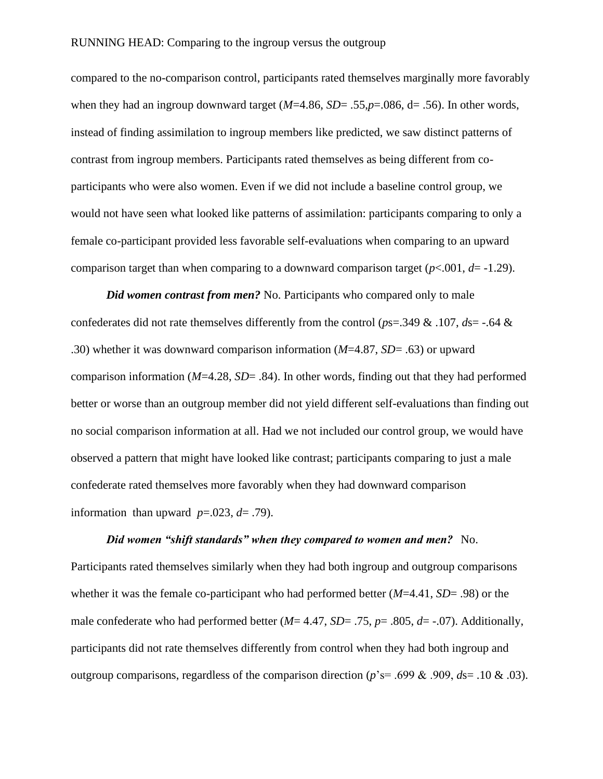compared to the no-comparison control, participants rated themselves marginally more favorably when they had an ingroup downward target (*M*=4.86, *SD*= .55,*p*=.086, d= .56). In other words, instead of finding assimilation to ingroup members like predicted, we saw distinct patterns of contrast from ingroup members. Participants rated themselves as being different from coparticipants who were also women. Even if we did not include a baseline control group, we would not have seen what looked like patterns of assimilation: participants comparing to only a female co-participant provided less favorable self-evaluations when comparing to an upward comparison target than when comparing to a downward comparison target  $(p<.001, d=$  -1.29).

*Did women contrast from men?* No. Participants who compared only to male confederates did not rate themselves differently from the control (*p*s=.349 & .107, *d*s= -.64 & .30) whether it was downward comparison information (*M*=4.87, *SD*= .63) or upward comparison information (*M*=4.28, *SD*= .84). In other words, finding out that they had performed better or worse than an outgroup member did not yield different self-evaluations than finding out no social comparison information at all. Had we not included our control group, we would have observed a pattern that might have looked like contrast; participants comparing to just a male confederate rated themselves more favorably when they had downward comparison information than upward  $p=.023, d=.79$ .

## *Did women "shift standards" when they compared to women and men?* No. Participants rated themselves similarly when they had both ingroup and outgroup comparisons

whether it was the female co-participant who had performed better (*M*=4.41, *SD*= .98) or the male confederate who had performed better (*M*= 4.47, *SD*= .75, *p*= .805, *d*= -.07). Additionally, participants did not rate themselves differently from control when they had both ingroup and outgroup comparisons, regardless of the comparison direction (*p*'s= .699 & .909, *d*s= .10 & .03).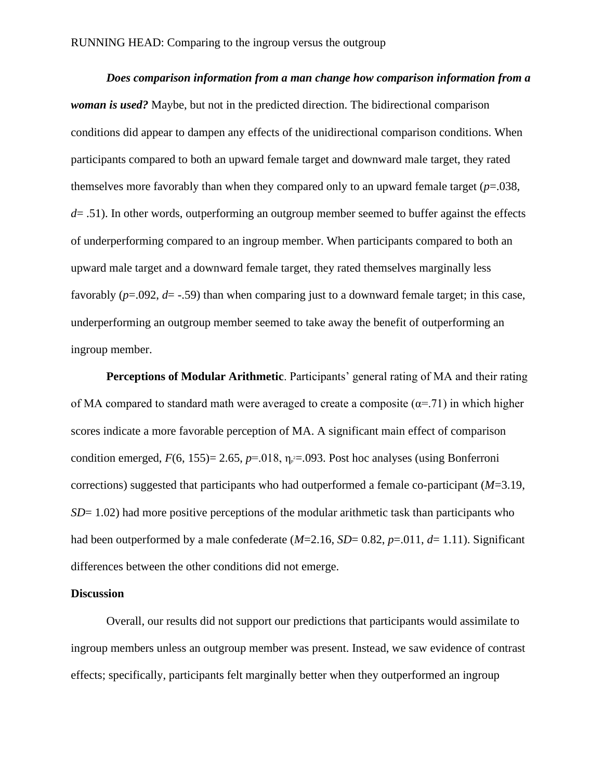*Does comparison information from a man change how comparison information from a woman is used?* Maybe, but not in the predicted direction. The bidirectional comparison conditions did appear to dampen any effects of the unidirectional comparison conditions. When participants compared to both an upward female target and downward male target, they rated themselves more favorably than when they compared only to an upward female target  $(p=0.038,$ *d*= .51). In other words, outperforming an outgroup member seemed to buffer against the effects of underperforming compared to an ingroup member. When participants compared to both an upward male target and a downward female target, they rated themselves marginally less favorably  $(p=0.092, d=-0.59)$  than when comparing just to a downward female target; in this case, underperforming an outgroup member seemed to take away the benefit of outperforming an ingroup member.

**Perceptions of Modular Arithmetic**. Participants' general rating of MA and their rating of MA compared to standard math were averaged to create a composite ( $\alpha$ =.71) in which higher scores indicate a more favorable perception of MA. A significant main effect of comparison condition emerged,  $F(6, 155)=2.65$ ,  $p=.018$ ,  $\eta_p=.093$ . Post hoc analyses (using Bonferroni corrections) suggested that participants who had outperformed a female co-participant (*M*=3.19, *SD*= 1.02) had more positive perceptions of the modular arithmetic task than participants who had been outperformed by a male confederate (*M*=2.16, *SD*= 0.82, *p*=.011, *d*= 1.11). Significant differences between the other conditions did not emerge.

#### **Discussion**

Overall, our results did not support our predictions that participants would assimilate to ingroup members unless an outgroup member was present. Instead, we saw evidence of contrast effects; specifically, participants felt marginally better when they outperformed an ingroup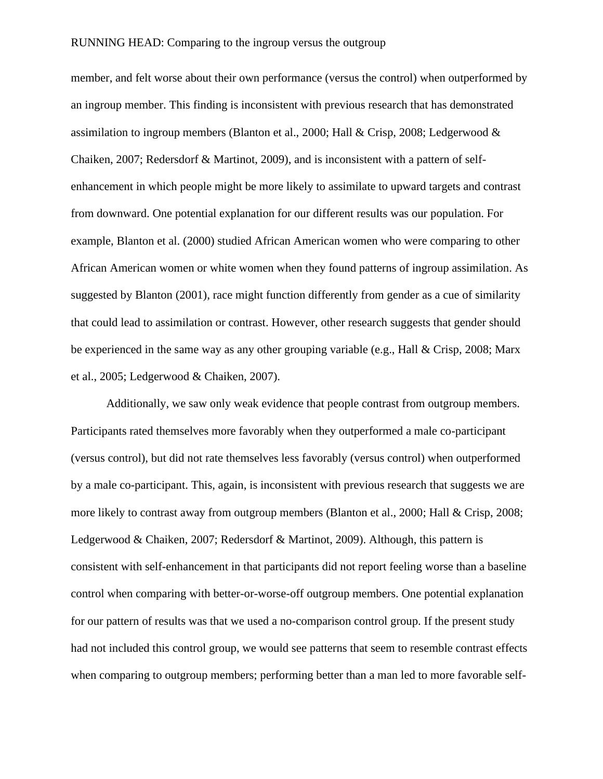member, and felt worse about their own performance (versus the control) when outperformed by an ingroup member. This finding is inconsistent with previous research that has demonstrated assimilation to ingroup members (Blanton et al., 2000; Hall & Crisp, 2008; Ledgerwood & Chaiken, 2007; Redersdorf & Martinot, 2009), and is inconsistent with a pattern of selfenhancement in which people might be more likely to assimilate to upward targets and contrast from downward. One potential explanation for our different results was our population. For example, Blanton et al. (2000) studied African American women who were comparing to other African American women or white women when they found patterns of ingroup assimilation. As suggested by Blanton (2001), race might function differently from gender as a cue of similarity that could lead to assimilation or contrast. However, other research suggests that gender should be experienced in the same way as any other grouping variable (e.g., Hall & Crisp, 2008; Marx et al., 2005; Ledgerwood & Chaiken, 2007).

Additionally, we saw only weak evidence that people contrast from outgroup members. Participants rated themselves more favorably when they outperformed a male co-participant (versus control), but did not rate themselves less favorably (versus control) when outperformed by a male co-participant. This, again, is inconsistent with previous research that suggests we are more likely to contrast away from outgroup members (Blanton et al., 2000; Hall & Crisp, 2008; Ledgerwood & Chaiken, 2007; Redersdorf & Martinot, 2009). Although, this pattern is consistent with self-enhancement in that participants did not report feeling worse than a baseline control when comparing with better-or-worse-off outgroup members. One potential explanation for our pattern of results was that we used a no-comparison control group. If the present study had not included this control group, we would see patterns that seem to resemble contrast effects when comparing to outgroup members; performing better than a man led to more favorable self-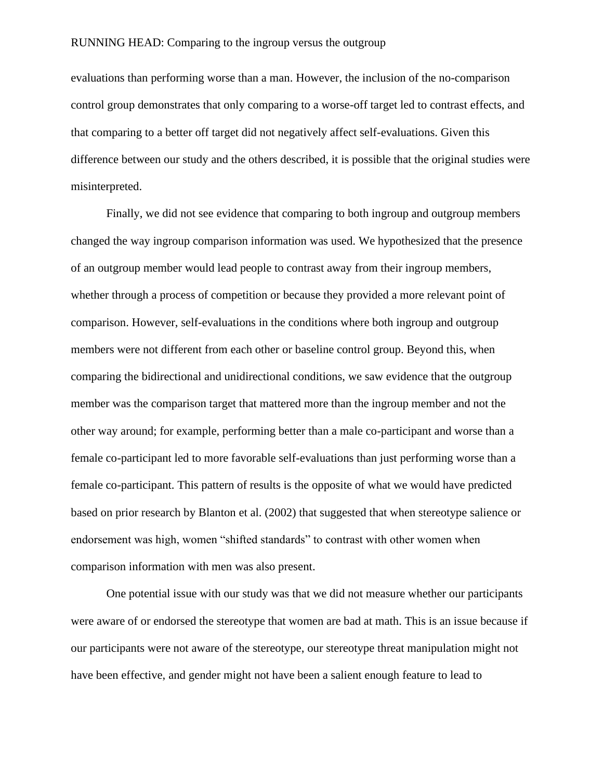evaluations than performing worse than a man. However, the inclusion of the no-comparison control group demonstrates that only comparing to a worse-off target led to contrast effects, and that comparing to a better off target did not negatively affect self-evaluations. Given this difference between our study and the others described, it is possible that the original studies were misinterpreted.

Finally, we did not see evidence that comparing to both ingroup and outgroup members changed the way ingroup comparison information was used. We hypothesized that the presence of an outgroup member would lead people to contrast away from their ingroup members, whether through a process of competition or because they provided a more relevant point of comparison. However, self-evaluations in the conditions where both ingroup and outgroup members were not different from each other or baseline control group. Beyond this, when comparing the bidirectional and unidirectional conditions, we saw evidence that the outgroup member was the comparison target that mattered more than the ingroup member and not the other way around; for example, performing better than a male co-participant and worse than a female co-participant led to more favorable self-evaluations than just performing worse than a female co-participant. This pattern of results is the opposite of what we would have predicted based on prior research by Blanton et al. (2002) that suggested that when stereotype salience or endorsement was high, women "shifted standards" to contrast with other women when comparison information with men was also present.

One potential issue with our study was that we did not measure whether our participants were aware of or endorsed the stereotype that women are bad at math. This is an issue because if our participants were not aware of the stereotype, our stereotype threat manipulation might not have been effective, and gender might not have been a salient enough feature to lead to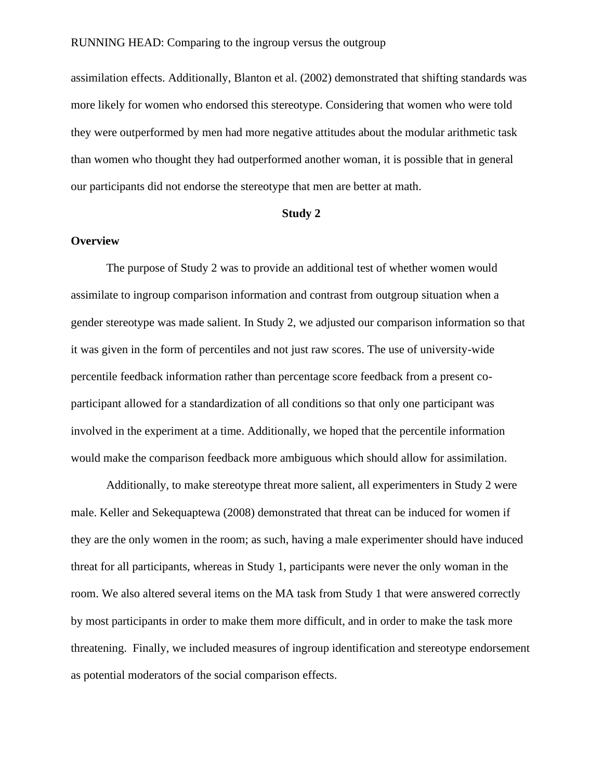assimilation effects. Additionally, Blanton et al. (2002) demonstrated that shifting standards was more likely for women who endorsed this stereotype. Considering that women who were told they were outperformed by men had more negative attitudes about the modular arithmetic task than women who thought they had outperformed another woman, it is possible that in general our participants did not endorse the stereotype that men are better at math.

#### **Study 2**

#### **Overview**

The purpose of Study 2 was to provide an additional test of whether women would assimilate to ingroup comparison information and contrast from outgroup situation when a gender stereotype was made salient. In Study 2, we adjusted our comparison information so that it was given in the form of percentiles and not just raw scores. The use of university-wide percentile feedback information rather than percentage score feedback from a present coparticipant allowed for a standardization of all conditions so that only one participant was involved in the experiment at a time. Additionally, we hoped that the percentile information would make the comparison feedback more ambiguous which should allow for assimilation.

Additionally, to make stereotype threat more salient, all experimenters in Study 2 were male. Keller and Sekequaptewa (2008) demonstrated that threat can be induced for women if they are the only women in the room; as such, having a male experimenter should have induced threat for all participants, whereas in Study 1, participants were never the only woman in the room. We also altered several items on the MA task from Study 1 that were answered correctly by most participants in order to make them more difficult, and in order to make the task more threatening. Finally, we included measures of ingroup identification and stereotype endorsement as potential moderators of the social comparison effects.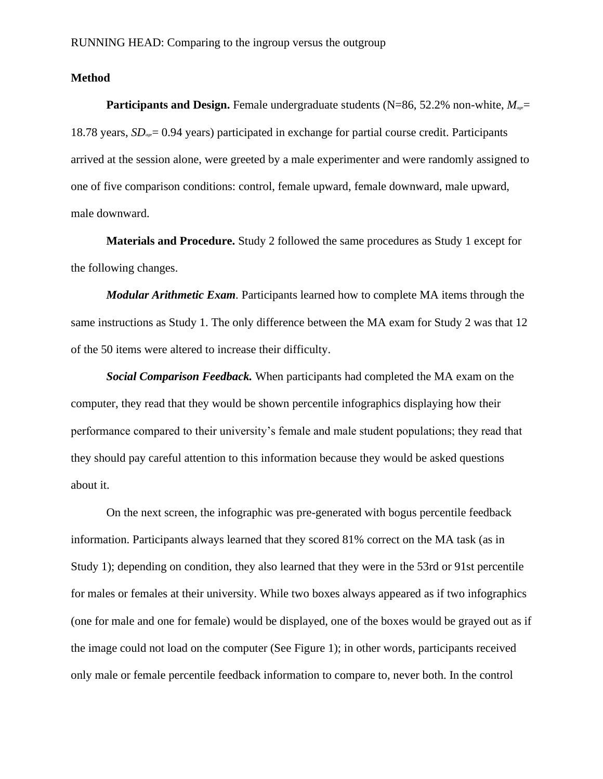#### **Method**

**Participants and Design.** Female undergraduate students (N=86, 52.2% non-white,  $M_{\text{ave}}$ = 18.78 years, *SDag*e= 0.94 years) participated in exchange for partial course credit. Participants arrived at the session alone, were greeted by a male experimenter and were randomly assigned to one of five comparison conditions: control, female upward, female downward, male upward, male downward.

**Materials and Procedure.** Study 2 followed the same procedures as Study 1 except for the following changes.

*Modular Arithmetic Exam.* Participants learned how to complete MA items through the same instructions as Study 1. The only difference between the MA exam for Study 2 was that 12 of the 50 items were altered to increase their difficulty.

*Social Comparison Feedback.* When participants had completed the MA exam on the computer, they read that they would be shown percentile infographics displaying how their performance compared to their university's female and male student populations; they read that they should pay careful attention to this information because they would be asked questions about it.

On the next screen, the infographic was pre-generated with bogus percentile feedback information. Participants always learned that they scored 81% correct on the MA task (as in Study 1); depending on condition, they also learned that they were in the 53rd or 91st percentile for males or females at their university. While two boxes always appeared as if two infographics (one for male and one for female) would be displayed, one of the boxes would be grayed out as if the image could not load on the computer (See Figure 1); in other words, participants received only male or female percentile feedback information to compare to, never both. In the control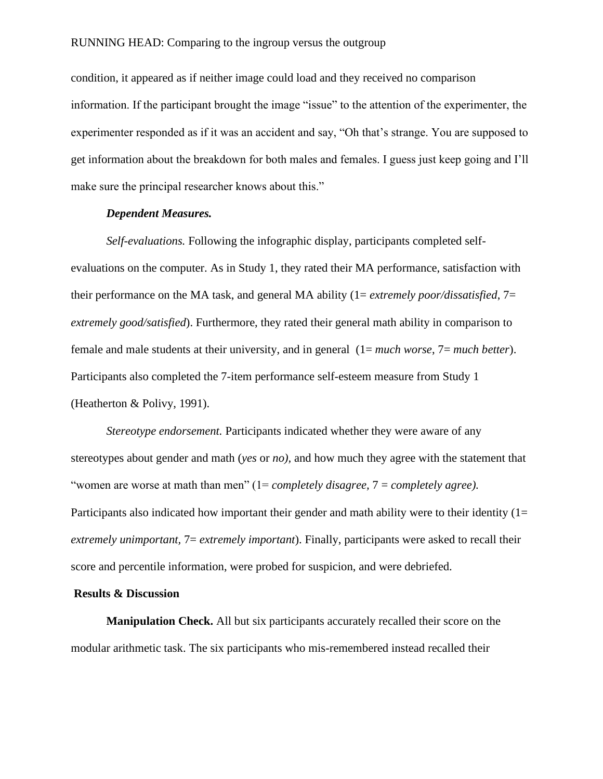condition, it appeared as if neither image could load and they received no comparison information. If the participant brought the image "issue" to the attention of the experimenter, the experimenter responded as if it was an accident and say, "Oh that's strange. You are supposed to get information about the breakdown for both males and females. I guess just keep going and I'll make sure the principal researcher knows about this."

#### *Dependent Measures.*

*Self-evaluations.* Following the infographic display, participants completed selfevaluations on the computer. As in Study 1, they rated their MA performance, satisfaction with their performance on the MA task, and general MA ability (1= *extremely poor/dissatisfied*, 7= *extremely good/satisfied*). Furthermore, they rated their general math ability in comparison to female and male students at their university, and in general (1= *much worse*, 7= *much better*). Participants also completed the 7-item performance self-esteem measure from Study 1 (Heatherton & Polivy, 1991).

*Stereotype endorsement.* Participants indicated whether they were aware of any stereotypes about gender and math (*yes* or *no),* and how much they agree with the statement that "women are worse at math than men" (1= *completely disagree,* 7 = *completely agree).*  Participants also indicated how important their gender and math ability were to their identity  $(1=$ *extremely unimportant,* 7= *extremely important*). Finally, participants were asked to recall their score and percentile information, were probed for suspicion, and were debriefed.

#### **Results & Discussion**

**Manipulation Check.** All but six participants accurately recalled their score on the modular arithmetic task. The six participants who mis-remembered instead recalled their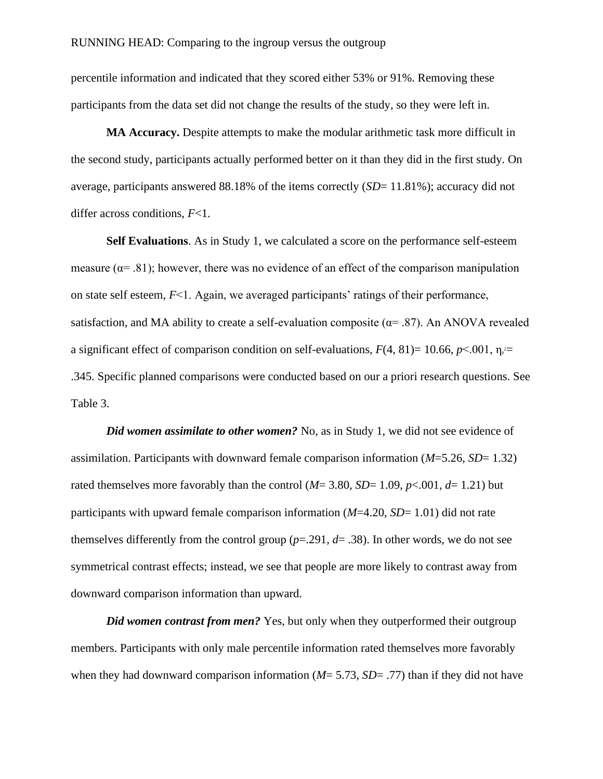percentile information and indicated that they scored either 53% or 91%. Removing these participants from the data set did not change the results of the study, so they were left in.

**MA Accuracy.** Despite attempts to make the modular arithmetic task more difficult in the second study, participants actually performed better on it than they did in the first study. On average, participants answered 88.18% of the items correctly (*SD*= 11.81%); accuracy did not differ across conditions, *F*<1.

**Self Evaluations**. As in Study 1, we calculated a score on the performance self-esteem measure ( $\alpha$ = .81); however, there was no evidence of an effect of the comparison manipulation on state self esteem, *F*<1. Again, we averaged participants' ratings of their performance, satisfaction, and MA ability to create a self-evaluation composite ( $\alpha$ = .87). An ANOVA revealed a significant effect of comparison condition on self-evaluations,  $F(4, 81) = 10.66$ ,  $p < 0.01$ ,  $\eta_{\text{p}} =$ .345. Specific planned comparisons were conducted based on our a priori research questions. See Table 3.

*Did women assimilate to other women?* No, as in Study 1, we did not see evidence of assimilation. Participants with downward female comparison information (*M*=5.26, *SD*= 1.32) rated themselves more favorably than the control  $(M=3.80, SD=1.09, p<.001, d=1.21)$  but participants with upward female comparison information (*M*=4.20, *SD*= 1.01) did not rate themselves differently from the control group  $(p=0.291, d=0.38)$ . In other words, we do not see symmetrical contrast effects; instead, we see that people are more likely to contrast away from downward comparison information than upward.

*Did women contrast from men?* Yes, but only when they outperformed their outgroup members. Participants with only male percentile information rated themselves more favorably when they had downward comparison information ( $M = 5.73$ ,  $SD = .77$ ) than if they did not have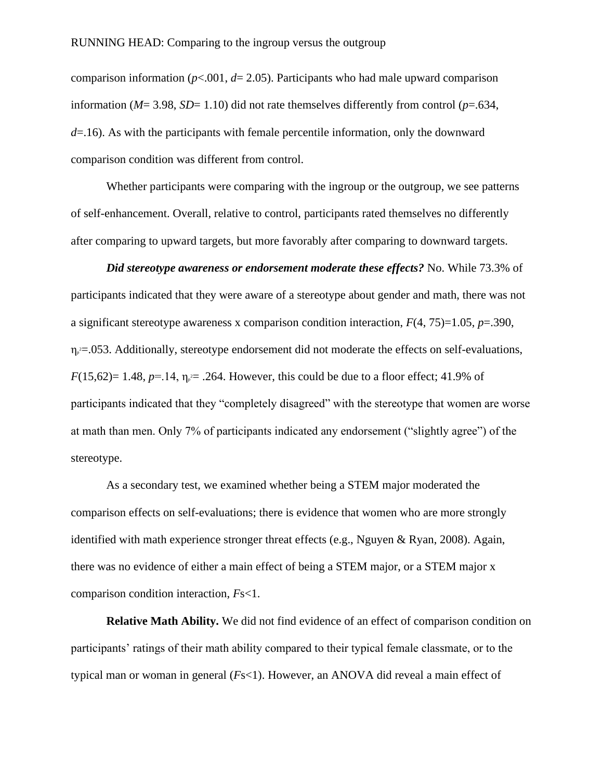comparison information ( $p$ <.001,  $d$  = 2.05). Participants who had male upward comparison information ( $M=3.98$ ,  $SD=1.10$ ) did not rate themselves differently from control ( $p=.634$ , *d*=.16). As with the participants with female percentile information, only the downward comparison condition was different from control.

Whether participants were comparing with the ingroup or the outgroup, we see patterns of self-enhancement. Overall, relative to control, participants rated themselves no differently after comparing to upward targets, but more favorably after comparing to downward targets.

*Did stereotype awareness or endorsement moderate these effects?* No. While 73.3% of participants indicated that they were aware of a stereotype about gender and math, there was not a significant stereotype awareness x comparison condition interaction, *F*(4, 75)=1.05, *p*=.390, ηp <sup>2</sup>=.053. Additionally, stereotype endorsement did not moderate the effects on self-evaluations, *F*(15,62)= 1.48, *p*=.14,  $\eta_{\text{p}}$  = .264. However, this could be due to a floor effect; 41.9% of participants indicated that they "completely disagreed" with the stereotype that women are worse at math than men. Only 7% of participants indicated any endorsement ("slightly agree") of the stereotype.

As a secondary test, we examined whether being a STEM major moderated the comparison effects on self-evaluations; there is evidence that women who are more strongly identified with math experience stronger threat effects (e.g., Nguyen & Ryan, 2008). Again, there was no evidence of either a main effect of being a STEM major, or a STEM major x comparison condition interaction, *F*s<1.

**Relative Math Ability.** We did not find evidence of an effect of comparison condition on participants' ratings of their math ability compared to their typical female classmate, or to the typical man or woman in general (*F*s<1). However, an ANOVA did reveal a main effect of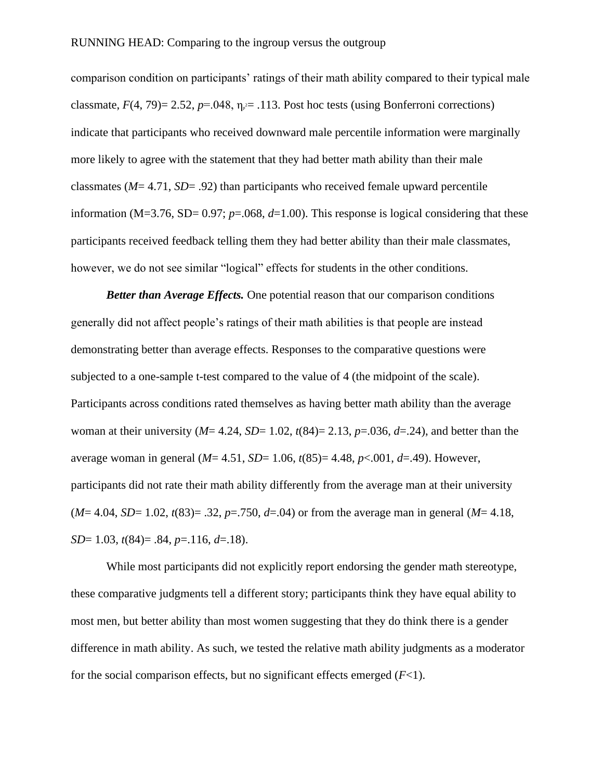comparison condition on participants' ratings of their math ability compared to their typical male classmate,  $F(4, 79) = 2.52$ ,  $p = .048$ ,  $\eta_{p} = .113$ . Post hoc tests (using Bonferroni corrections) indicate that participants who received downward male percentile information were marginally more likely to agree with the statement that they had better math ability than their male classmates (*M*= 4.71, *SD*= .92) than participants who received female upward percentile information (M=3.76, SD=  $0.97$ ;  $p=0.068$ ,  $d=1.00$ ). This response is logical considering that these participants received feedback telling them they had better ability than their male classmates, however, we do not see similar "logical" effects for students in the other conditions.

*Better than Average Effects.* One potential reason that our comparison conditions generally did not affect people's ratings of their math abilities is that people are instead demonstrating better than average effects. Responses to the comparative questions were subjected to a one-sample t-test compared to the value of 4 (the midpoint of the scale). Participants across conditions rated themselves as having better math ability than the average woman at their university ( $M = 4.24$ ,  $SD = 1.02$ ,  $t(84) = 2.13$ ,  $p = .036$ ,  $d = .24$ ), and better than the average woman in general (*M*= 4.51, *SD*= 1.06, *t*(85)= 4.48, *p*<.001, *d*=.49). However, participants did not rate their math ability differently from the average man at their university (*M*= 4.04, *SD*= 1.02, *t*(83)= .32, *p*=.750, *d*=.04) or from the average man in general (*M*= 4.18, *SD*= 1.03, *t*(84)= .84, *p*=.116, *d*=.18).

While most participants did not explicitly report endorsing the gender math stereotype, these comparative judgments tell a different story; participants think they have equal ability to most men, but better ability than most women suggesting that they do think there is a gender difference in math ability. As such, we tested the relative math ability judgments as a moderator for the social comparison effects, but no significant effects emerged  $(F<1)$ .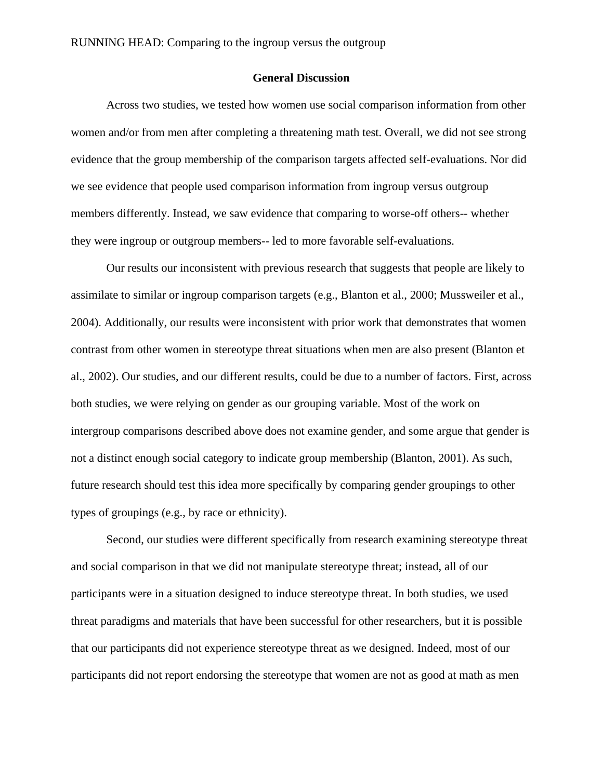#### **General Discussion**

Across two studies, we tested how women use social comparison information from other women and/or from men after completing a threatening math test. Overall, we did not see strong evidence that the group membership of the comparison targets affected self-evaluations. Nor did we see evidence that people used comparison information from ingroup versus outgroup members differently. Instead, we saw evidence that comparing to worse-off others-- whether they were ingroup or outgroup members-- led to more favorable self-evaluations.

Our results our inconsistent with previous research that suggests that people are likely to assimilate to similar or ingroup comparison targets (e.g., Blanton et al., 2000; Mussweiler et al., 2004). Additionally, our results were inconsistent with prior work that demonstrates that women contrast from other women in stereotype threat situations when men are also present (Blanton et al., 2002). Our studies, and our different results, could be due to a number of factors. First, across both studies, we were relying on gender as our grouping variable. Most of the work on intergroup comparisons described above does not examine gender, and some argue that gender is not a distinct enough social category to indicate group membership (Blanton, 2001). As such, future research should test this idea more specifically by comparing gender groupings to other types of groupings (e.g., by race or ethnicity).

Second, our studies were different specifically from research examining stereotype threat and social comparison in that we did not manipulate stereotype threat; instead, all of our participants were in a situation designed to induce stereotype threat. In both studies, we used threat paradigms and materials that have been successful for other researchers, but it is possible that our participants did not experience stereotype threat as we designed. Indeed, most of our participants did not report endorsing the stereotype that women are not as good at math as men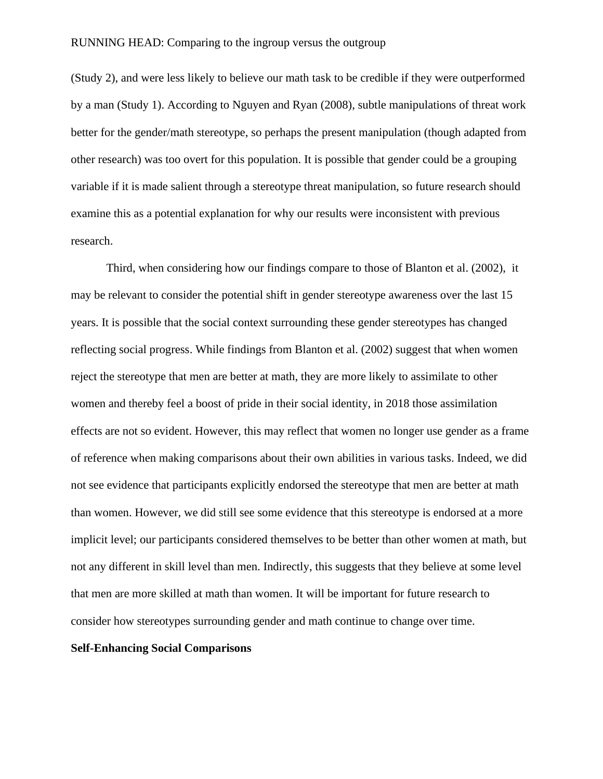(Study 2), and were less likely to believe our math task to be credible if they were outperformed by a man (Study 1). According to Nguyen and Ryan (2008), subtle manipulations of threat work better for the gender/math stereotype, so perhaps the present manipulation (though adapted from other research) was too overt for this population. It is possible that gender could be a grouping variable if it is made salient through a stereotype threat manipulation, so future research should examine this as a potential explanation for why our results were inconsistent with previous research.

Third, when considering how our findings compare to those of Blanton et al. (2002), it may be relevant to consider the potential shift in gender stereotype awareness over the last 15 years. It is possible that the social context surrounding these gender stereotypes has changed reflecting social progress. While findings from Blanton et al. (2002) suggest that when women reject the stereotype that men are better at math, they are more likely to assimilate to other women and thereby feel a boost of pride in their social identity, in 2018 those assimilation effects are not so evident. However, this may reflect that women no longer use gender as a frame of reference when making comparisons about their own abilities in various tasks. Indeed, we did not see evidence that participants explicitly endorsed the stereotype that men are better at math than women. However, we did still see some evidence that this stereotype is endorsed at a more implicit level; our participants considered themselves to be better than other women at math, but not any different in skill level than men. Indirectly, this suggests that they believe at some level that men are more skilled at math than women. It will be important for future research to consider how stereotypes surrounding gender and math continue to change over time.

#### **Self-Enhancing Social Comparisons**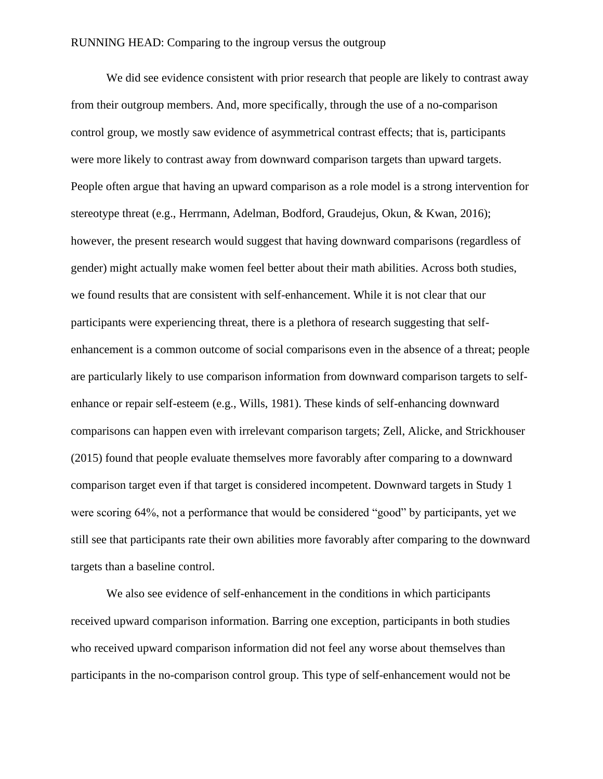We did see evidence consistent with prior research that people are likely to contrast away from their outgroup members. And, more specifically, through the use of a no-comparison control group, we mostly saw evidence of asymmetrical contrast effects; that is, participants were more likely to contrast away from downward comparison targets than upward targets. People often argue that having an upward comparison as a role model is a strong intervention for stereotype threat (e.g., Herrmann, Adelman, Bodford, Graudejus, Okun, & Kwan, 2016); however, the present research would suggest that having downward comparisons (regardless of gender) might actually make women feel better about their math abilities. Across both studies, we found results that are consistent with self-enhancement. While it is not clear that our participants were experiencing threat, there is a plethora of research suggesting that selfenhancement is a common outcome of social comparisons even in the absence of a threat; people are particularly likely to use comparison information from downward comparison targets to selfenhance or repair self-esteem (e.g., Wills, 1981). These kinds of self-enhancing downward comparisons can happen even with irrelevant comparison targets; Zell, Alicke, and Strickhouser (2015) found that people evaluate themselves more favorably after comparing to a downward comparison target even if that target is considered incompetent. Downward targets in Study 1 were scoring 64%, not a performance that would be considered "good" by participants, yet we still see that participants rate their own abilities more favorably after comparing to the downward targets than a baseline control.

We also see evidence of self-enhancement in the conditions in which participants received upward comparison information. Barring one exception, participants in both studies who received upward comparison information did not feel any worse about themselves than participants in the no-comparison control group. This type of self-enhancement would not be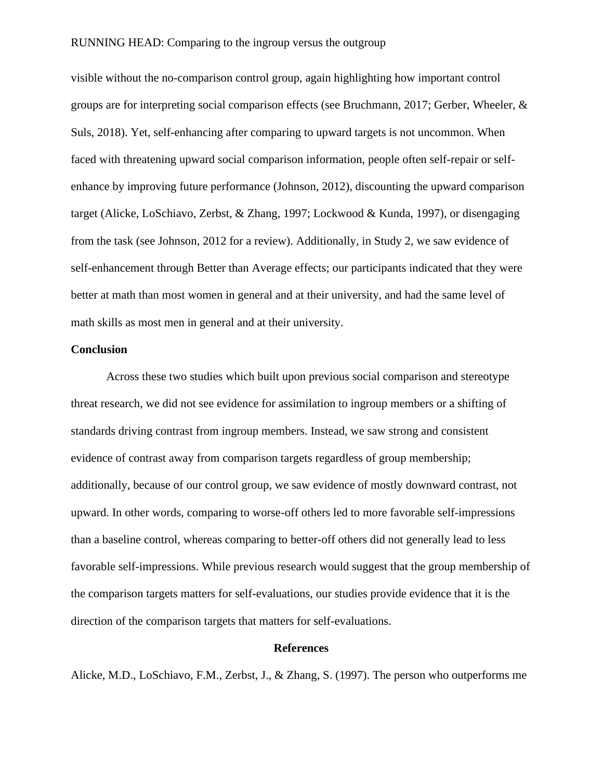visible without the no-comparison control group, again highlighting how important control groups are for interpreting social comparison effects (see Bruchmann, 2017; Gerber, Wheeler, & Suls, 2018). Yet, self-enhancing after comparing to upward targets is not uncommon. When faced with threatening upward social comparison information, people often self-repair or selfenhance by improving future performance (Johnson, 2012), discounting the upward comparison target (Alicke, LoSchiavo, Zerbst, & Zhang, 1997; Lockwood & Kunda, 1997), or disengaging from the task (see Johnson, 2012 for a review). Additionally, in Study 2, we saw evidence of self-enhancement through Better than Average effects; our participants indicated that they were better at math than most women in general and at their university, and had the same level of math skills as most men in general and at their university.

#### **Conclusion**

Across these two studies which built upon previous social comparison and stereotype threat research, we did not see evidence for assimilation to ingroup members or a shifting of standards driving contrast from ingroup members. Instead, we saw strong and consistent evidence of contrast away from comparison targets regardless of group membership; additionally, because of our control group, we saw evidence of mostly downward contrast, not upward. In other words, comparing to worse-off others led to more favorable self-impressions than a baseline control, whereas comparing to better-off others did not generally lead to less favorable self-impressions. While previous research would suggest that the group membership of the comparison targets matters for self-evaluations, our studies provide evidence that it is the direction of the comparison targets that matters for self-evaluations.

#### **References**

Alicke, M.D., LoSchiavo, F.M., Zerbst, J., & Zhang, S. (1997). The person who outperforms me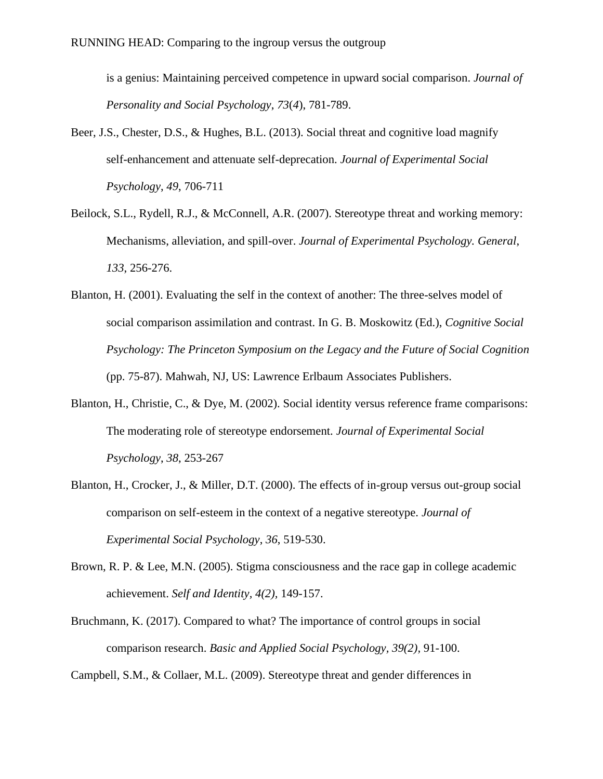is a genius: Maintaining perceived competence in upward social comparison. *Journal of Personality and Social Psychology*, *73*(*4*), 781-789.

- Beer, J.S., Chester, D.S., & Hughes, B.L. (2013). Social threat and cognitive load magnify self-enhancement and attenuate self-deprecation. *Journal of Experimental Social Psychology*, *49*, 706-711
- Beilock, S.L., Rydell, R.J., & McConnell, A.R. (2007). Stereotype threat and working memory: Mechanisms, alleviation, and spill-over. *Journal of Experimental Psychology. General*, *133*, 256-276.
- Blanton, H. (2001). Evaluating the self in the context of another: The three-selves model of social comparison assimilation and contrast. In G. B. Moskowitz (Ed.), *Cognitive Social Psychology: The Princeton Symposium on the Legacy and the Future of Social Cognition*  (pp. 75-87). Mahwah, NJ, US: Lawrence Erlbaum Associates Publishers.
- Blanton, H., Christie, C., & Dye, M. (2002). Social identity versus reference frame comparisons: The moderating role of stereotype endorsement. *Journal of Experimental Social Psychology*, *38*, 253-267
- Blanton, H., Crocker, J., & Miller, D.T. (2000). The effects of in-group versus out-group social comparison on self-esteem in the context of a negative stereotype. *Journal of Experimental Social Psychology*, *36*, 519-530.
- Brown, R. P. & Lee, M.N. (2005). Stigma consciousness and the race gap in college academic achievement. *Self and Identity, 4(2),* 149-157.
- Bruchmann, K. (2017). Compared to what? The importance of control groups in social comparison research. *Basic and Applied Social Psychology, 39(2),* 91-100.

Campbell, S.M., & Collaer, M.L. (2009). Stereotype threat and gender differences in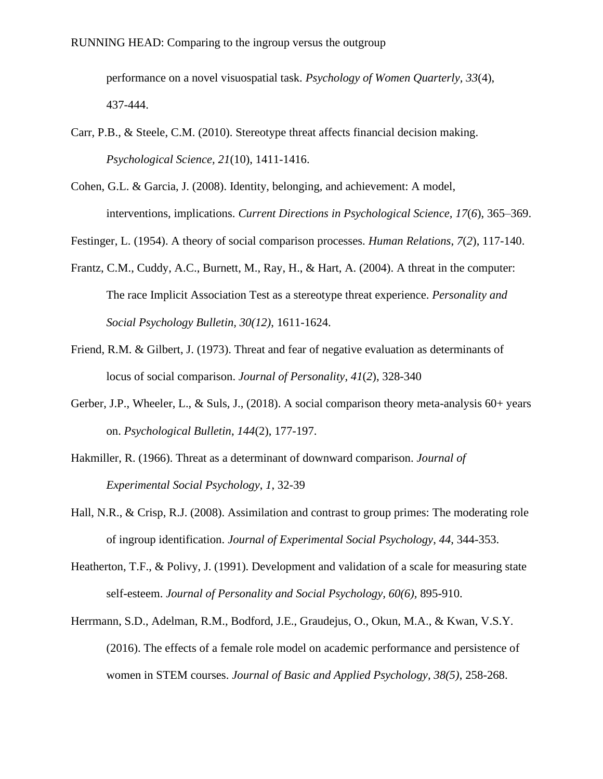performance on a novel visuospatial task. *Psychology of Women Quarterly, 33*(4), 437-444.

- Carr, P.B., & Steele, C.M. (2010). Stereotype threat affects financial decision making. *Psychological Science, 21*(10), 1411-1416.
- Cohen, G.L. & Garcia, J. (2008). Identity, belonging, and achievement: A model, interventions, implications. *Current Directions in Psychological Science, 17*(*6*), 365–369.

Festinger, L. (1954). A theory of social comparison processes. *Human Relations*, *7*(*2*), 117-140.

- Frantz, C.M., Cuddy, A.C., Burnett, M., Ray, H., & Hart, A. (2004). A threat in the computer: The race Implicit Association Test as a stereotype threat experience. *Personality and Social Psychology Bulletin, 30(12)*, 1611-1624.
- Friend, R.M. & Gilbert, J. (1973). Threat and fear of negative evaluation as determinants of locus of social comparison. *Journal of Personality*, *41*(*2*), 328-340
- Gerber, J.P., Wheeler, L., & Suls, J., (2018). A social comparison theory meta-analysis 60+ years on. *Psychological Bulletin*, *144*(2), 177-197.
- Hakmiller, R. (1966). Threat as a determinant of downward comparison. *Journal of Experimental Social Psychology*, *1*, 32-39
- Hall, N.R., & Crisp, R.J. (2008). Assimilation and contrast to group primes: The moderating role of ingroup identification. *Journal of Experimental Social Psychology*, *44*, 344-353.
- Heatherton, T.F., & Polivy, J. (1991). Development and validation of a scale for measuring state self-esteem. *Journal of Personality and Social Psychology, 60(6),* 895-910.
- Herrmann, S.D., Adelman, R.M., Bodford, J.E., Graudejus, O., Okun, M.A., & Kwan, V.S.Y. (2016). The effects of a female role model on academic performance and persistence of women in STEM courses. *Journal of Basic and Applied Psychology, 38(5)*, 258-268.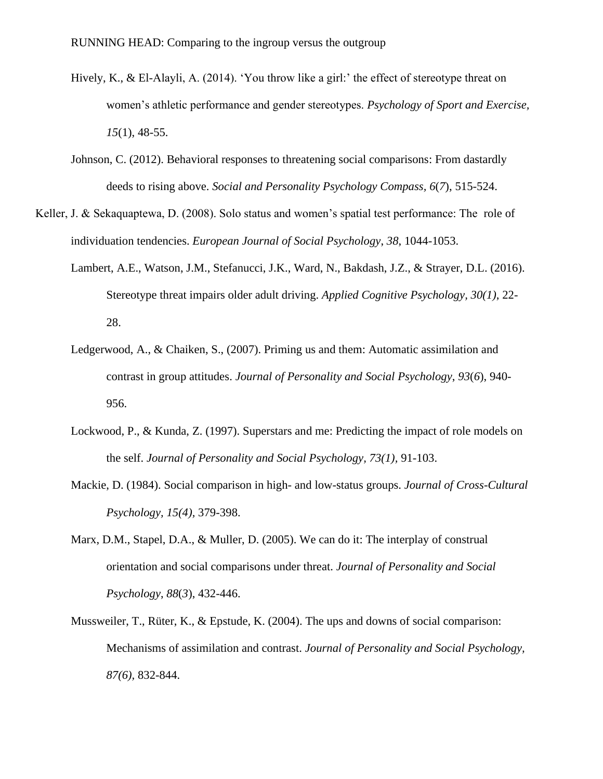- Hively, K., & El-Alayli, A. (2014). 'You throw like a girl:' the effect of stereotype threat on women's athletic performance and gender stereotypes. *Psychology of Sport and Exercise, 15*(1), 48-55.
- Johnson, C. (2012). Behavioral responses to threatening social comparisons: From dastardly deeds to rising above. *Social and Personality Psychology Compass, 6*(*7*), 515-524.
- Keller, J. & Sekaquaptewa, D. (2008). Solo status and women's spatial test performance: The role of individuation tendencies. *European Journal of Social Psychology*, *38*, 1044-1053.
	- Lambert, A.E., Watson, J.M., Stefanucci, J.K., Ward, N., Bakdash, J.Z., & Strayer, D.L. (2016). Stereotype threat impairs older adult driving. *Applied Cognitive Psychology, 30(1)*, 22- 28.
	- Ledgerwood, A., & Chaiken, S., (2007). Priming us and them: Automatic assimilation and contrast in group attitudes. *Journal of Personality and Social Psychology*, *93*(*6*), 940- 956.
	- Lockwood, P., & Kunda, Z. (1997). Superstars and me: Predicting the impact of role models on the self. *Journal of Personality and Social Psychology, 73(1),* 91-103.
	- Mackie, D. (1984). Social comparison in high- and low-status groups. *Journal of Cross-Cultural Psychology, 15(4),* 379-398.
	- Marx, D.M., Stapel, D.A., & Muller, D. (2005). We can do it: The interplay of construal orientation and social comparisons under threat. *Journal of Personality and Social Psychology*, *88*(*3*), 432-446.
	- Mussweiler, T., Rüter, K., & Epstude, K. (2004). The ups and downs of social comparison: Mechanisms of assimilation and contrast. *Journal of Personality and Social Psychology, 87(6),* 832-844.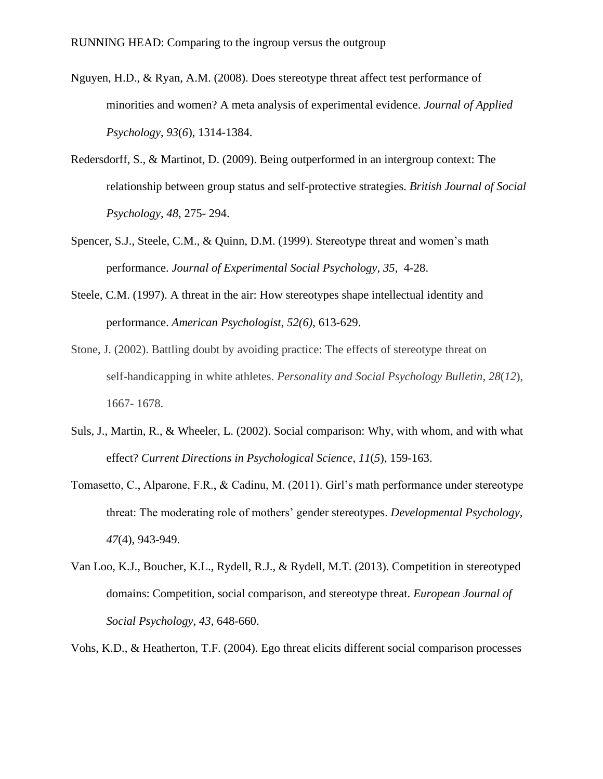- Nguyen, H.D., & Ryan, A.M. (2008). Does stereotype threat affect test performance of minorities and women? A meta analysis of experimental evidence. *Journal of Applied Psychology*, *93*(*6*), 1314-1384.
- Redersdorff, S., & Martinot, D. (2009). Being outperformed in an intergroup context: The relationship between group status and self-protective strategies. *British Journal of Social Psychology*, *48*, 275- 294.
- Spencer, S.J., Steele, C.M., & Quinn, D.M. (1999). Stereotype threat and women's math performance. *Journal of Experimental Social Psychology, 35,* 4-28.
- Steele, C.M. (1997). A threat in the air: How stereotypes shape intellectual identity and performance. *American Psychologist, 52(6)*, 613-629.
- Stone, J. (2002). Battling doubt by avoiding practice: The effects of stereotype threat on self-handicapping in white athletes. *Personality and Social Psychology Bulletin*, *28*(*12*), 1667- 1678.
- Suls, J., Martin, R., & Wheeler, L. (2002). Social comparison: Why, with whom, and with what effect? *Current Directions in Psychological Science*, *11*(*5*), 159-163.
- Tomasetto, C., Alparone, F.R., & Cadinu, M. (2011). Girl's math performance under stereotype threat: The moderating role of mothers' gender stereotypes. *Developmental Psychology, 47*(4), 943-949.
- Van Loo, K.J., Boucher, K.L., Rydell, R.J., & Rydell, M.T. (2013). Competition in stereotyped domains: Competition, social comparison, and stereotype threat. *European Journal of Social Psychology*, *43*, 648-660.

Vohs, K.D., & Heatherton, T.F. (2004). Ego threat elicits different social comparison processes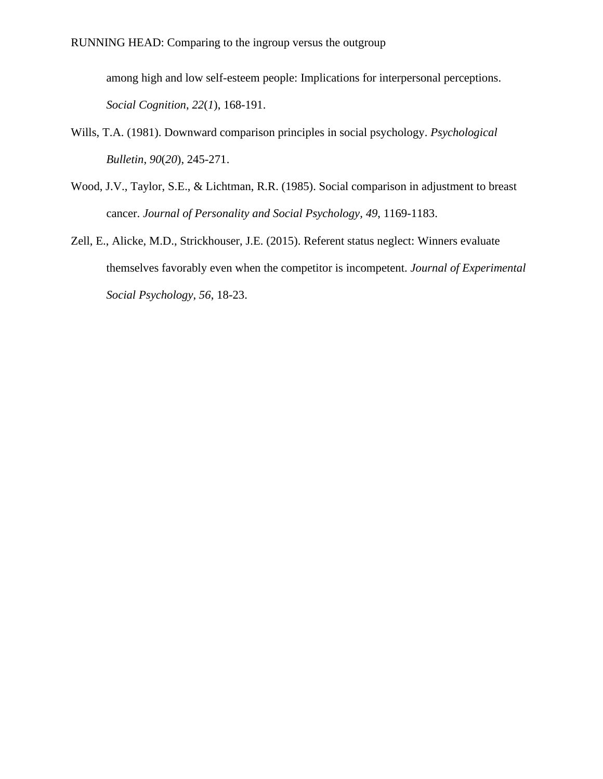among high and low self-esteem people: Implications for interpersonal perceptions. *Social Cognition*, *22*(*1*), 168-191.

- Wills, T.A. (1981). Downward comparison principles in social psychology. *Psychological Bulletin*, *90*(*20*), 245-271.
- Wood, J.V., Taylor, S.E., & Lichtman, R.R. (1985). Social comparison in adjustment to breast cancer. *Journal of Personality and Social Psychology, 49*, 1169-1183.
- Zell, E., Alicke, M.D., Strickhouser, J.E. (2015). Referent status neglect: Winners evaluate themselves favorably even when the competitor is incompetent. *Journal of Experimental Social Psychology*, *56*, 18-23.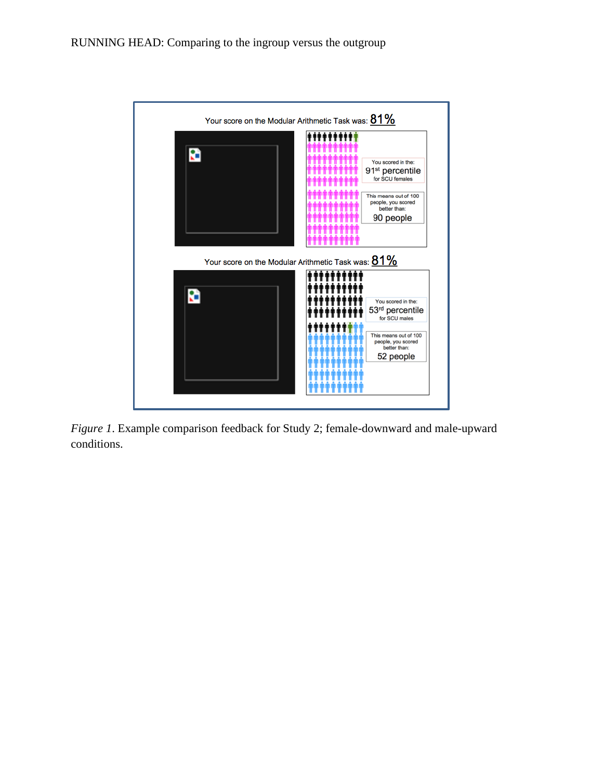

*Figure 1*. Example comparison feedback for Study 2; female-downward and male-upward conditions.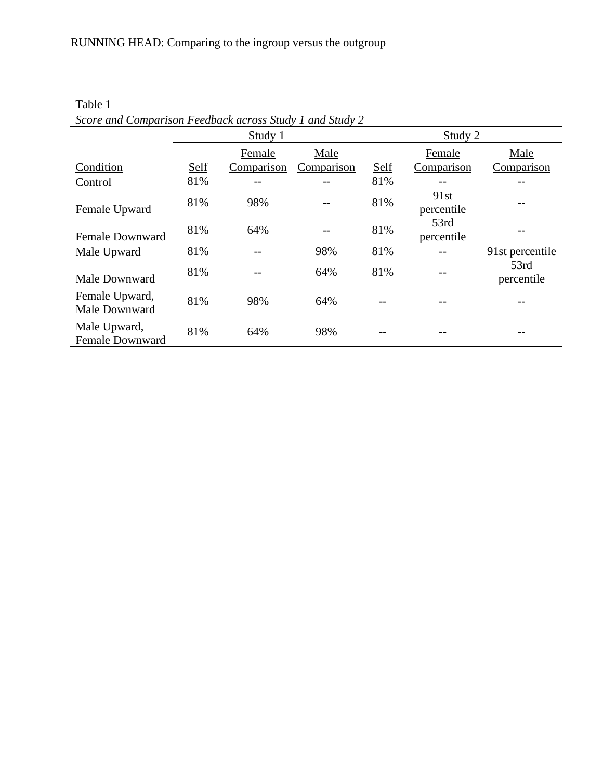|                                        | Study 1 |            |            | Study 2 |                    |                    |
|----------------------------------------|---------|------------|------------|---------|--------------------|--------------------|
|                                        |         | Female     | Male       |         | Female             | Male               |
| Condition                              | Self    | Comparison | Comparison | Self    | Comparison         | Comparison         |
| Control                                | 81%     | --         |            | 81%     |                    |                    |
| Female Upward                          | 81%     | 98%        |            | 81%     | 91st<br>percentile |                    |
| <b>Female Downward</b>                 | 81%     | 64%        |            | 81%     | 53rd<br>percentile |                    |
| Male Upward                            | 81%     | --         | 98%        | 81%     |                    | 91st percentile    |
| Male Downward                          | 81%     |            | 64%        | 81%     |                    | 53rd<br>percentile |
| Female Upward,<br>Male Downward        | 81%     | 98%        | 64%        |         |                    |                    |
| Male Upward,<br><b>Female Downward</b> | 81%     | 64%        | 98%        |         |                    |                    |

Table 1 *Score and Comparison Feedback across Study 1 and Study 2*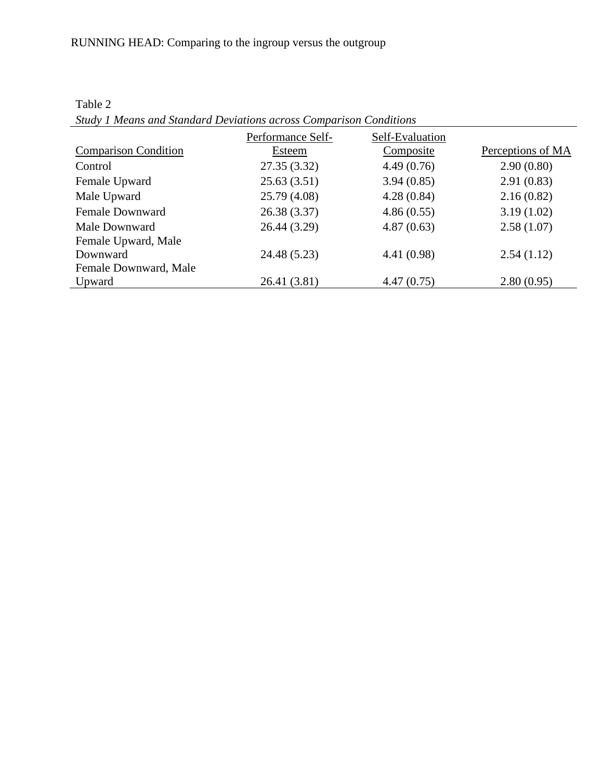| shah I means and shahaara Devianons aeross comparison conditions |                   |                 |                   |  |  |  |
|------------------------------------------------------------------|-------------------|-----------------|-------------------|--|--|--|
|                                                                  | Performance Self- | Self-Evaluation |                   |  |  |  |
| <b>Comparison Condition</b>                                      | Esteem            | Composite       | Perceptions of MA |  |  |  |
| Control                                                          | 27.35 (3.32)      | 4.49(0.76)      | 2.90(0.80)        |  |  |  |
| Female Upward                                                    | 25.63(3.51)       | 3.94(0.85)      | 2.91(0.83)        |  |  |  |
| Male Upward                                                      | 25.79 (4.08)      | 4.28(0.84)      | 2.16(0.82)        |  |  |  |
| <b>Female Downward</b>                                           | 26.38 (3.37)      | 4.86(0.55)      | 3.19(1.02)        |  |  |  |
| Male Downward                                                    | 26.44 (3.29)      | 4.87(0.63)      | 2.58(1.07)        |  |  |  |
| Female Upward, Male                                              |                   |                 |                   |  |  |  |
| Downward                                                         | 24.48 (5.23)      | 4.41 (0.98)     | 2.54(1.12)        |  |  |  |
| Female Downward, Male                                            |                   |                 |                   |  |  |  |
| Upward                                                           | 26.41 (3.81)      | 4.47(0.75)      | 2.80(0.95)        |  |  |  |

Table 2

*Study 1 Means and Standard Deviations across Comparison Conditions*